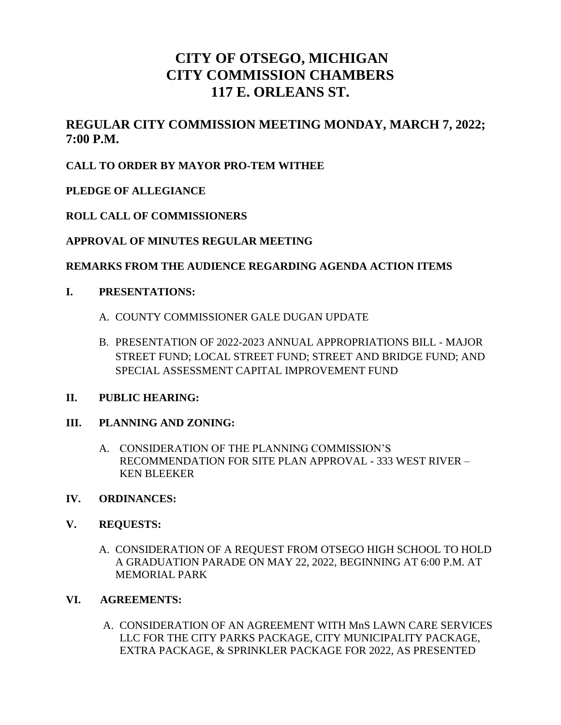# **CITY OF OTSEGO, MICHIGAN CITY COMMISSION CHAMBERS 117 E. ORLEANS ST.**

# **REGULAR CITY COMMISSION MEETING MONDAY, MARCH 7, 2022; 7:00 P.M.**

# **CALL TO ORDER BY MAYOR PRO-TEM WITHEE**

## **PLEDGE OF ALLEGIANCE**

#### **ROLL CALL OF COMMISSIONERS**

## **APPROVAL OF MINUTES REGULAR MEETING**

#### **REMARKS FROM THE AUDIENCE REGARDING AGENDA ACTION ITEMS**

#### **I. PRESENTATIONS:**

- A. COUNTY COMMISSIONER GALE DUGAN UPDATE
- B. PRESENTATION OF 2022-2023 ANNUAL APPROPRIATIONS BILL MAJOR STREET FUND; LOCAL STREET FUND; STREET AND BRIDGE FUND; AND SPECIAL ASSESSMENT CAPITAL IMPROVEMENT FUND

#### **II. PUBLIC HEARING:**

#### **III. PLANNING AND ZONING:**

A. CONSIDERATION OF THE PLANNING COMMISSION'S RECOMMENDATION FOR SITE PLAN APPROVAL - 333 WEST RIVER – KEN BLEEKER

#### **IV. ORDINANCES:**

#### **V. REQUESTS:**

A. CONSIDERATION OF A REQUEST FROM OTSEGO HIGH SCHOOL TO HOLD A GRADUATION PARADE ON MAY 22, 2022, BEGINNING AT 6:00 P.M. AT MEMORIAL PARK

#### **VI. AGREEMENTS:**

A. CONSIDERATION OF AN AGREEMENT WITH MnS LAWN CARE SERVICES LLC FOR THE CITY PARKS PACKAGE, CITY MUNICIPALITY PACKAGE, EXTRA PACKAGE, & SPRINKLER PACKAGE FOR 2022, AS PRESENTED